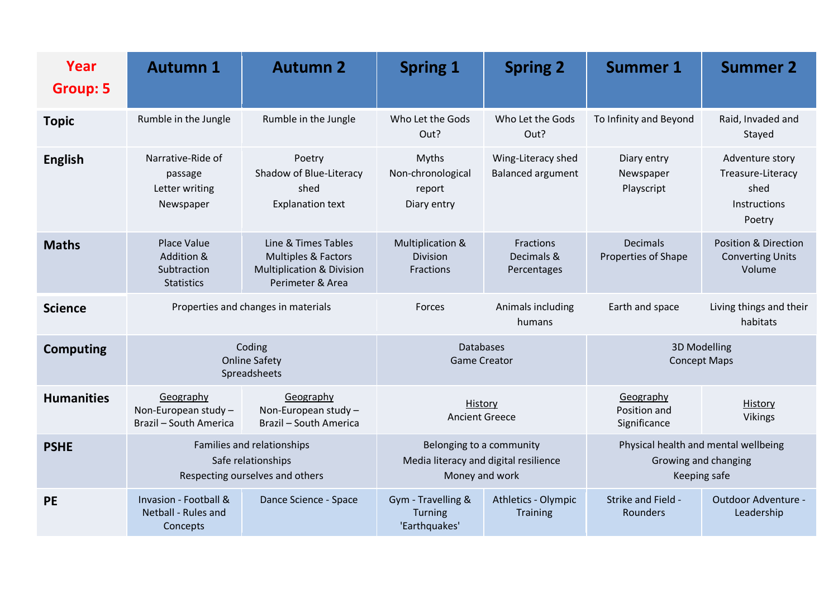| Year<br><b>Group: 5</b> | <b>Autumn 1</b>                                                                     | <b>Autumn 2</b>                                                                                        | <b>Spring 1</b>                                                                     | <b>Spring 2</b>                                | <b>Summer 1</b>                                                              | <b>Summer 2</b>                                                               |
|-------------------------|-------------------------------------------------------------------------------------|--------------------------------------------------------------------------------------------------------|-------------------------------------------------------------------------------------|------------------------------------------------|------------------------------------------------------------------------------|-------------------------------------------------------------------------------|
| <b>Topic</b>            | Rumble in the Jungle                                                                | Rumble in the Jungle                                                                                   | Who Let the Gods<br>Out?                                                            | Who Let the Gods<br>Out?                       | To Infinity and Beyond                                                       | Raid, Invaded and<br>Stayed                                                   |
| <b>English</b>          | Narrative-Ride of<br>passage<br>Letter writing<br>Newspaper                         | Poetry<br>Shadow of Blue-Literacy<br>shed<br><b>Explanation text</b>                                   | <b>Myths</b><br>Non-chronological<br>report<br>Diary entry                          | Wing-Literacy shed<br><b>Balanced argument</b> | Diary entry<br>Newspaper<br>Playscript                                       | Adventure story<br>Treasure-Literacy<br>shed<br><b>Instructions</b><br>Poetry |
| <b>Maths</b>            | Place Value<br>Addition &<br>Subtraction<br><b>Statistics</b>                       | Line & Times Tables<br>Multiples & Factors<br><b>Multiplication &amp; Division</b><br>Perimeter & Area | Multiplication &<br>Division<br>Fractions                                           | <b>Fractions</b><br>Decimals &<br>Percentages  | <b>Decimals</b><br>Properties of Shape                                       | <b>Position &amp; Direction</b><br><b>Converting Units</b><br>Volume          |
| <b>Science</b>          | Properties and changes in materials                                                 |                                                                                                        | Forces                                                                              | Animals including<br>humans                    | Earth and space                                                              | Living things and their<br>habitats                                           |
| <b>Computing</b>        | Coding<br><b>Online Safety</b><br>Spreadsheets                                      |                                                                                                        | <b>Databases</b><br><b>Game Creator</b>                                             |                                                | 3D Modelling<br><b>Concept Maps</b>                                          |                                                                               |
| <b>Humanities</b>       | Geography<br>Non-European study -<br>Brazil - South America                         | Geography<br>Non-European study -<br>Brazil - South America                                            | History<br><b>Ancient Greece</b>                                                    |                                                | Geography<br>Position and<br>Significance                                    | History<br><b>Vikings</b>                                                     |
| <b>PSHE</b>             | Families and relationships<br>Safe relationships<br>Respecting ourselves and others |                                                                                                        | Belonging to a community<br>Media literacy and digital resilience<br>Money and work |                                                | Physical health and mental wellbeing<br>Growing and changing<br>Keeping safe |                                                                               |
| <b>PE</b>               | Invasion - Football &<br>Netball - Rules and<br>Concepts                            | Dance Science - Space                                                                                  | Gym - Travelling &<br>Turning<br>'Earthquakes'                                      | Athletics - Olympic<br>Training                | Strike and Field -<br>Rounders                                               | Outdoor Adventure -<br>Leadership                                             |